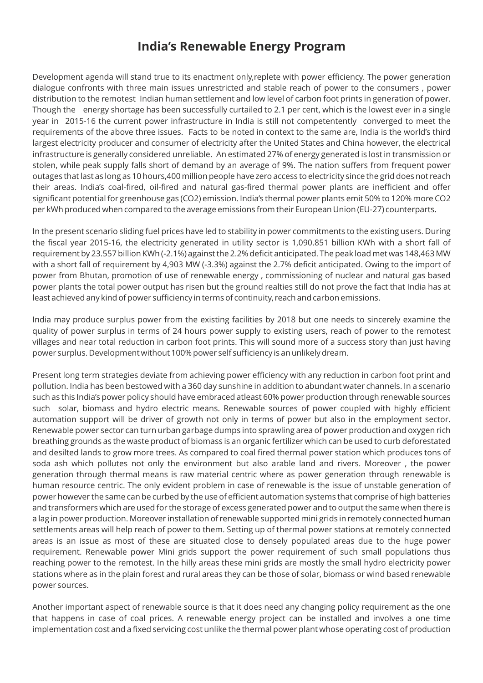## **India's Renewable Energy Program**

Development agenda will stand true to its enactment only,replete with power efficiency. The power generation dialogue confronts with three main issues unrestricted and stable reach of power to the consumers , power distribution to the remotest Indian human settlement and low level of carbon foot prints in generation of power. Though the energy shortage has been successfully curtailed to 2.1 per cent, which is the lowest ever in a single year in 2015-16 the current power infrastructure in India is still not competentently converged to meet the requirements of the above three issues. Facts to be noted in context to the same are, India is the world's third largest electricity producer and consumer of electricity after the United States and China however, the electrical infrastructure is generally considered unreliable. An estimated 27% of energy generated is lost in transmission or stolen, while peak supply falls short of demand by an average of 9%. The nation suffers from frequent power outages that last as long as 10 hours,400 million people have zero access to electricity since the grid does not reach their areas. India's coal-fired, oil-fired and natural gas-fired thermal power plants are inefficient and offer significant potential for greenhouse gas (CO2) emission. India's thermal power plants emit 50% to 120% more CO2 per kWh produced when compared to the average emissions from their European Union (EU-27) counterparts.

In the present scenario sliding fuel prices have led to stability in power commitments to the existing users. During the fiscal year 2015-16, the electricity generated in utility sector is 1,090.851 billion KWh with a short fall of requirement by 23.557 billion KWh (-2.1%) against the 2.2% deficit anticipated. The peak load met was 148,463 MW with a short fall of requirement by 4,903 MW (-3.3%) against the 2.7% deficit anticipated. Owing to the import of power from Bhutan, promotion of use of renewable energy , commissioning of nuclear and natural gas based power plants the total power output has risen but the ground realties still do not prove the fact that India has at least achieved any kind of power sufficiency in terms of continuity, reach and carbon emissions.

India may produce surplus power from the existing facilities by 2018 but one needs to sincerely examine the quality of power surplus in terms of 24 hours power supply to existing users, reach of power to the remotest villages and near total reduction in carbon foot prints. This will sound more of a success story than just having power surplus. Development without 100% power self sufficiency is an unlikely dream.

Present long term strategies deviate from achieving power efficiency with any reduction in carbon foot print and pollution. India has been bestowed with a 360 day sunshine in addition to abundant water channels. In a scenario such as this India's power policy should have embraced atleast 60% power production through renewable sources such solar, biomass and hydro electric means. Renewable sources of power coupled with highly efficient automation support will be driver of growth not only in terms of power but also in the employment sector. Renewable power sector can turn urban garbage dumps into sprawling area of power production and oxygen rich breathing grounds as the waste product of biomass is an organic fertilizer which can be used to curb deforestated and desilted lands to grow more trees. As compared to coal fired thermal power station which produces tons of soda ash which pollutes not only the environment but also arable land and rivers. Moreover , the power generation through thermal means is raw material centric where as power generation through renewable is human resource centric. The only evident problem in case of renewable is the issue of unstable generation of power however the same can be curbed by the use of efficient automation systems that comprise of high batteries and transformers which are used for the storage of excess generated power and to output the same when there is a lag in power production. Moreover installation of renewable supported mini grids in remotely connected human settlements areas will help reach of power to them. Setting up of thermal power stations at remotely connected areas is an issue as most of these are situated close to densely populated areas due to the huge power requirement. Renewable power Mini grids support the power requirement of such small populations thus reaching power to the remotest. In the hilly areas these mini grids are mostly the small hydro electricity power stations where as in the plain forest and rural areas they can be those of solar, biomass or wind based renewable power sources.

Another important aspect of renewable source is that it does need any changing policy requirement as the one that happens in case of coal prices. A renewable energy project can be installed and involves a one time implementation cost and a fixed servicing cost unlike the thermal power plant whose operating cost of production